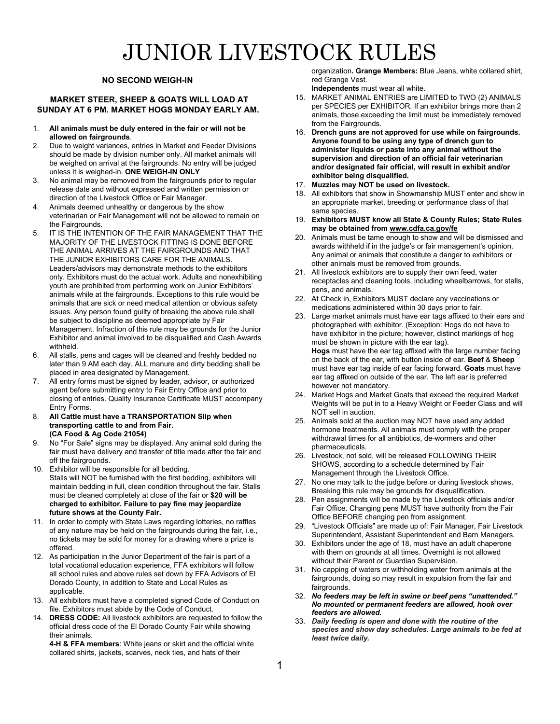# JUNIOR LIVESTOCK RULES

#### **NO SECOND WEIGH-IN**

#### **MARKET STEER, SHEEP & GOATS WILL LOAD AT SUNDAY AT 6 PM. MARKET HOGS MONDAY EARLY AM.**

- 1. **All animals must be duly entered in the fair or will not be allowed on fairgrounds**.
- 2. Due to weight variances, entries in Market and Feeder Divisions should be made by division number only. All market animals will be weighed on arrival at the fairgrounds. No entry will be judged unless it is weighed-in. **ONE WEIGH-IN ONLY**
- 3. No animal may be removed from the fairgrounds prior to regular release date and without expressed and written permission or direction of the Livestock Office or Fair Manager.
- 4. Animals deemed unhealthy or dangerous by the show veterinarian or Fair Management will not be allowed to remain on the Fairgrounds
- 5. IT IS THE INTENTION OF THE FAIR MANAGEMENT THAT THE MAJORITY OF THE LIVESTOCK FITTING IS DONE BEFORE THE ANIMAL ARRIVES AT THE FAIRGROUNDS AND THAT THE JUNIOR EXHIBITORS CARE FOR THE ANIMALS. Leaders/advisors may demonstrate methods to the exhibitors only. Exhibitors must do the actual work. Adults and nonexhibiting youth are prohibited from performing work on Junior Exhibitors' animals while at the fairgrounds. Exceptions to this rule would be animals that are sick or need medical attention or obvious safety issues. Any person found guilty of breaking the above rule shall be subject to discipline as deemed appropriate by Fair Management. Infraction of this rule may be grounds for the Junior Exhibitor and animal involved to be disqualified and Cash Awards withheld.
- 6. All stalls, pens and cages will be cleaned and freshly bedded no later than 9 AM each day. ALL manure and dirty bedding shall be placed in area designated by Management.
- 7. All entry forms must be signed by leader, advisor, or authorized agent before submitting entry to Fair Entry Office and prior to closing of entries. Quality Insurance Certificate MUST accompany Entry Forms.
- 8. **All Cattle must have a TRANSPORTATION Slip when transporting cattle to and from Fair. (CA Food & Ag Code 21054)**
- 9. No "For Sale" signs may be displayed. Any animal sold during the fair must have delivery and transfer of title made after the fair and off the fairgrounds.
- 10. Exhibitor will be responsible for all bedding. Stalls will NOT be furnished with the first bedding, exhibitors will maintain bedding in full, clean condition throughout the fair. Stalls must be cleaned completely at close of the fair or **\$20 will be charged to exhibitor. Failure to pay fine may jeopardize future shows at the County Fair.**
- 11. In order to comply with State Laws regarding lotteries, no raffles of any nature may be held on the fairgrounds during the fair, i.e., no tickets may be sold for money for a drawing where a prize is offered.
- 12. As participation in the Junior Department of the fair is part of a total vocational education experience, FFA exhibitors will follow all school rules and above rules set down by FFA Advisors of El Dorado County, in addition to State and Local Rules as applicable
- 13. All exhibitors must have a completed signed Code of Conduct on file. Exhibitors must abide by the Code of Conduct.
- 14. **DRESS CODE:** All livestock exhibitors are requested to follow the official dress code of the El Dorado County Fair while showing their animals.

**4-H & FFA members**: White jeans or skirt and the official white collared shirts, jackets, scarves, neck ties, and hats of their

organization**. Grange Members:** Blue Jeans, white collared shirt, red Grange Vest.

**Independents** must wear all white.

- 15. MARKET ANIMAL ENTRIES are LIMITED to TWO (2) ANIMALS per SPECIES per EXHIBITOR. If an exhibitor brings more than 2 animals, those exceeding the limit must be immediately removed from the Fairgrounds.
- 16. **Drench guns are not approved for use while on fairgrounds. Anyone found to be using any type of drench gun to administer liquids or paste into any animal without the supervision and direction of an official fair veterinarian and/or designated fair official, will result in exhibit and/or exhibitor being disqualified.**
- 17. **Muzzles may NOT be used on livestock.**
- 18. All exhibitors that show in Showmanship MUST enter and show in an appropriate market, breeding or performance class of that same species.
- 19. **Exhibitors MUST know all State & County Rules; State Rules may be obtained fr[om www.cdfa.ca.gov/fe](http://www.cdfa.ca.gov/fe)**
- 20. Animals must be tame enough to show and will be dismissed and awards withheld if in the judge's or fair management's opinion. Any animal or animals that constitute a danger to exhibitors or other animals must be removed from grounds.
- 21. All livestock exhibitors are to supply their own feed, water receptacles and cleaning tools, including wheelbarrows, for stalls, pens, and animals.
- 22. At Check in, Exhibitors MUST declare any vaccinations or medications administered within 30 days prior to fair.
- 23. Large market animals must have ear tags affixed to their ears and photographed with exhibitor. (Exception: Hogs do not have to have exhibitor in the picture; however, distinct markings of hog must be shown in picture with the ear tag). **Hogs** must have the ear tag affixed with the large number facing on the back of the ear, with button inside of ear. **Beef** & **Sheep** must have ear tag inside of ear facing forward. **Goats** must have ear tag affixed on outside of the ear. The left ear is preferred however not mandatory. 24. Market Hogs and Market Goats that exceed the required Market
- Weights will be put in to a Heavy Weight or Feeder Class and will NOT sell in auction.
- 25. Animals sold at the auction may NOT have used any added hormone treatments. All animals must comply with the proper withdrawal times for all antibiotics, de-wormers and other pharmaceuticals.
- 26. Livestock, not sold, will be released FOLLOWING THEIR SHOWS, according to a schedule determined by Fair Management through the Livestock Office.
- 27. No one may talk to the judge before or during livestock shows. Breaking this rule may be grounds for disqualification.
- Pen assignments will be made by the Livestock officials and/or Fair Office. Changing pens MUST have authority from the Fair Office BEFORE changing pen from assignment.
- 29. "Livestock Officials" are made up of: Fair Manager, Fair Livestock Superintendent, Assistant Superintendent and Barn Managers.
- 30. Exhibitors under the age of 18, must have an adult chaperone with them on grounds at all times. Overnight is not allowed without their Parent or Guardian Supervision.
- 31. No capping of waters or withholding water from animals at the fairgrounds, doing so may result in expulsion from the fair and fairgrounds
- 32. *No feeders may be left in swine or beef pens "unattended." No mounted or permanent feeders are allowed, hook over feeders are allowed.*
- 33. *Daily feeding is open and done with the routine of the species and show day schedules. Large animals to be fed at least twice daily.*